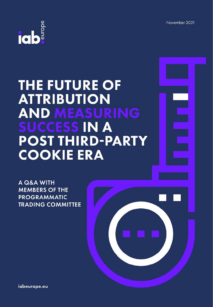November 2021



# **THE FUTURE OF ATTRIBUTION AND MEASURING SUCCESS IN A POST THIRD-PARTY COOKIE ERA**

A Q&A WITH **MEMBERS OF THE PROGRAMMATIC TRADING COMMITTEE** 



iabeurope.eu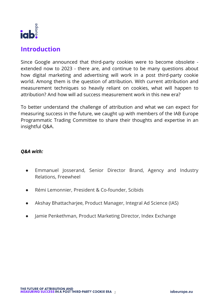

## **Introduction**

Since Google announced that third-party cookies were to become obsolete extended now to 2023 - there are, and continue to be many questions about how digital marketing and advertising will work in a post third-party cookie world. Among them is the question of attribution. With current attribution and measurement techniques so heavily reliant on cookies, what will happen to attribution? And how will ad success measurement work in this new era?

To better understand the challenge of attribution and what we can expect for measuring success in the future, we caught up with members of the IAB Europe Programmatic Trading Committee to share their thoughts and expertise in an insightful Q&A.

#### *Q&A with:*

- Emmanuel Josserand, Senior Director Brand, Agency and Industry Relations, Freewheel
- Rémi Lemonnier, President & Co-founder, Scibids
- Akshay Bhattacharjee, Product Manager, Integral Ad Science (IAS)
- Jamie Penkethman, Product Marketing Director, Index Exchange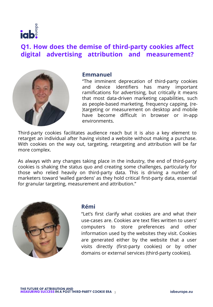

# **Q1. How does the demise of third-party cookies affect digital advertising attribution and measurement?**



#### **Emmanuel**

"The imminent deprecation of third-party cookies and device identifiers has many important ramifications for advertising, but critically it means that most data-driven marketing capabilities, such as people-based marketing, frequency capping, (re- )targeting or measurement on desktop and mobile have become difficult in browser or in-app environments.

Third-party cookies facilitates audience reach but it is also a key element to retarget an individual after having visited a website without making a purchase. With cookies on the way out, targeting, retargeting and attribution will be far more complex.

As always with any changes taking place in the industry, the end of third-party cookies is shaking the status quo and creating some challenges, particularly for those who relied heavily on third-party data. This is driving a number of marketers toward 'walled gardens' as they hold critical first-party data, essential for granular targeting, measurement and attribution."



#### **Rémi**

"Let's first clarify what cookies are and what their use-cases are. Cookies are text files written to users' computers to store preferences and other information used by the websites they visit. Cookies are generated either by the website that a user visits directly (first-party cookies) or by other domains or external services (third-party cookies).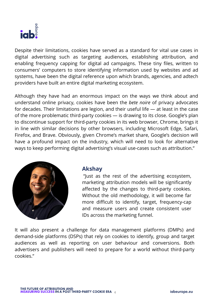

Despite their limitations, cookies have served as a standard for vital use cases in digital advertising such as targeting audiences, establishing attribution, and enabling frequency capping for digital ad campaigns. These tiny files, written to consumers' computers to store identifying information used by websites and ad systems, have been the digital reference upon which brands, agencies, and adtech providers have built an entire digital marketing ecosystem.

Although they have had an enormous impact on the ways we think about and understand online privacy, cookies have been the *bete noire* of privacy advocates for decades. Their limitations are legion, and their useful life — at least in the case of the more problematic third-party cookies — is drawing to its close. Google's plan to discontinue support for third-party cookies in its web browser, Chrome, brings it in line with similar decisions by other browsers, including Microsoft Edge, Safari, Firefox, and Brave. Obviously, given Chrome's market share, Google's decision will have a profound impact on the industry, which will need to look for alternative ways to keep performing digital advertising's visual use-cases such as attribution."



#### **Akshay**

"Just as the rest of the advertising ecosystem, marketing attribution models will be significantly affected by the changes to third-party cookies. Without the old methodology, it will become far more difficult to identify, target, frequency-cap and measure users and create consistent user IDs across the marketing funnel.

It will also present a challenge for data management platforms (DMPs) and demand-side platforms (DSPs) that rely on cookies to identify, group and target audiences as well as reporting on user behaviour and conversions. Both advertisers and publishers will need to prepare for a world without third-party cookies."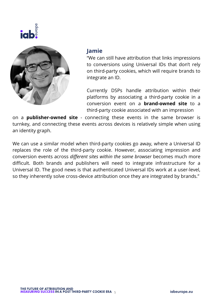



#### **Jamie**

"We can still have attribution that links impressions to conversions using Universal IDs that don't rely on third-party cookies, which will require brands to integrate an ID.

Currently DSPs handle attribution within their platforms by associating a third-party cookie in a conversion event on a **brand-owned site** to a third-party cookie associated with an impression

on a **publisher-owned site** - connecting these events in the same browser is turnkey, and connecting these events across devices is relatively simple when using an identity graph.

We can use a similar model when third-party cookies go away, where a Universal ID replaces the role of the third-party cookie. However, associating impression and conversion events across *different sites within the same browser* becomes much more difficult. Both brands and publishers will need to integrate infrastructure for a Universal ID. The good news is that authenticated Universal IDs work at a user-level, so they inherently solve cross-device attribution once they are integrated by brands."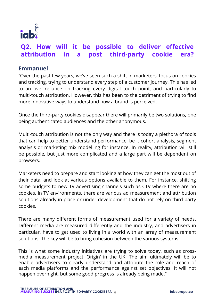

# **Q2. How will it be possible to deliver effective attribution in a post third-party cookie era?**

#### **Emmanuel**

"Over the past few years, we've seen such a shift in marketers' focus on cookies and tracking, trying to understand every step of a customer journey. This has led to an over-reliance on tracking every digital touch point, and particularly to multi-touch attribution. However, this has been to the detriment of trying to find more innovative ways to understand how a brand is perceived.

Once the third-party cookies disappear there will primarily be two solutions, one being authenticated audiences and the other anonymous.

Multi-touch attribution is not the only way and there is today a plethora of tools that can help to better understand performance, be it cohort analysis, segment analysis or marketing mix modelling for instance. In reality, attribution will still be possible, but just more complicated and a large part will be dependent on browsers.

Marketers need to prepare and start looking at how they can get the most out of their data, and look at various options available to them. For instance, shifting some budgets to new TV advertising channels such as CTV where there are no cookies. In TV environments, there are various ad measurement and attribution solutions already in place or under development that do not rely on third-party cookies.

There are many different forms of measurement used for a variety of needs. Different media are measured differently and the industry, and advertisers in particular, have to get used to living in a world with an array of measurement solutions. The key will be to bring cohesion between the various systems.

This is what some industry initiatives are trying to solve today, such as crossmedia measurement project 'Origin' in the UK. The aim ultimately will be to enable advertisers to clearly understand and attribute the role and reach of each media platforms and the performance against set objectives. It will not happen overnight, but some good progress is already being made."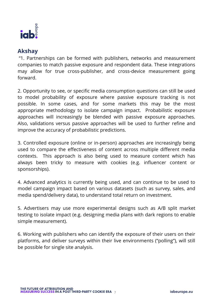

#### **Akshay**

"1. Partnerships can be formed with publishers, networks and measurement companies to match passive exposure and respondent data. These integrations may allow for true cross-publisher, and cross-device measurement going forward.

2. Opportunity to see, or specific media consumption questions can still be used to model probability of exposure where passive exposure tracking is not possible. In some cases, and for some markets this may be the most appropriate methodology to isolate campaign impact. Probabilistic exposure approaches will increasingly be blended with passive exposure approaches. Also, validations versus passive approaches will be used to further refine and improve the accuracy of probabilistic predictions.

3. Controlled exposure (online or in-person) approaches are increasingly being used to compare the effectiveness of content across multiple different media contexts. This approach is also being used to measure content which has always been tricky to measure with cookies (e.g. influencer content or sponsorships).

4. Advanced analytics is currently being used, and can continue to be used to model campaign impact based on various datasets (such as survey, sales, and media spend/delivery data), to understand total return on investment.

5. Advertisers may use more experimental designs such as A/B split market testing to isolate impact (e.g. designing media plans with dark regions to enable simple measurement).

6. Working with publishers who can identify the exposure of their users on their platforms, and deliver surveys within their live environments ("polling"), will still be possible for single site analysis.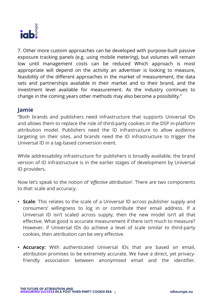

7. Other more custom approaches can be developed with purpose-built passive exposure tracking panels (e.g. using mobile metering), but volumes will remain low until management costs can be reduced Which approach is most appropriate will depend on the activity an advertiser is looking to measure, feasibility of the different approaches in the market of measurement, the data sets and partnerships available in their market and to their brand, and the investment level available for measurement. As the industry continues to change in the coming years other methods may also become a possibility."

#### **Jamie**

"Both brands and publishers need infrastructure that supports Universal IDs and allows them to replace the role of third-party cookies in the DSP in-platform attribution model. Publishers need the ID infrastructure to allow audience targeting on their sites, and brands need the ID infrastructure to trigger the Universal ID in a tag-based conversion event.

While addressability infrastructure for publishers is broadly available, the brand version of ID infrastructure is in the earlier stages of development by Universal ID providers.

Now let's speak to the notion of '*effective attribution*'. There are two components to *that*: scale and accuracy.

- **Scale**: This relates to the scale of a Universal ID across publisher supply and consumers' willingness to log in or contribute their email address. If a Universal ID isn't scaled across supply, then the new model isn't all that effective. What good is accurate measurement if there isn't much to measure? However, if Universal IDs do achieve a level of scale similar to third-party cookies, then attribution can be very effective.
- **Accuracy:** With authenticated Universal IDs that are based on email, attribution promises to be extremely accurate. We have a direct, yet privacyfriendly association between anonymised email and the identifier.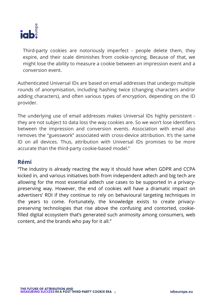

Third-party cookies are notoriously imperfect - people delete them, they expire, and their scale diminishes from cookie-syncing. Because of that, we might lose the ability to measure a cookie between an impression event and a conversion event.

Authenticated Universal IDs are based on email addresses that undergo multiple rounds of anonymisation, including hashing twice (changing characters and/or adding characters), and often various types of encryption, depending on the ID provider.

The underlying use of email addresses makes Universal IDs highly persistent they are not subject to data loss the way cookies are. So we won't lose identifiers between the impression and conversion events. Association with email also removes the "guesswork" associated with cross-device attribution. It's the same ID on all devices. Thus, attribution with Universal IDs promises to be more accurate than the third-party cookie-based model."

#### **Rémi**

"The industry is already reacting the way it should have when GDPR and CCPA kicked in, and various initiatives both from independent adtech and big tech are allowing for the most essential adtech use cases to be supported in a privacypreserving way. However, the end of cookies will have a dramatic impact on advertisers' ROI if they continue to rely on behavioural targeting techniques in the years to come. Fortunately, the knowledge exists to create privacypreserving technologies that rise above the confusing and contorted, cookiefilled digital ecosystem that's generated such animosity among consumers, web content, and the brands who pay for it all."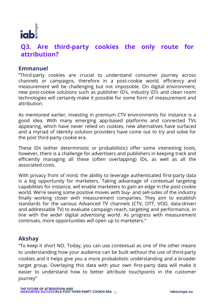

# **Q3. Are third-party cookies the only route for attribution?**

#### **Emmanuel**

"Third-party cookies are crucial to understand consumer journey across channels or campaigns, therefore in a post-cookie world, efficiency and measurement will be challenging but not impossible. On digital environment, new post-cookie solutions such as publisher ID's, industry ID's and clean room technologies will certainly make it possible for some form of measurement and attribution.

As mentioned earlier, investing in premium CTV environments for instance is a good idea. With many emerging app-based platforms and connected TVs appearing, which have never relied on cookies, new alternatives have surfaced and a myriad of identity solution providers have come out to try and solve for the post third-party cookie era.

These IDs (either deterministic or probabilistic) offer some interesting tools, however, there is a challenge for advertisers and publishers in keeping track and efficiently managing all these (often overlapping) IDs, as well as all the associated costs.

With privacy front of mind, the ability to leverage authenticated first-party data is a big opportunity for marketers. Taking advantage of contextual targeting capabilities for instance, will enable marketers to gain an edge in the post-cookie world. We're seeing some positive moves with buy- and sell-sides of the industry finally working closer with measurement companies. They aim to establish standards for the various Advanced TV channels (CTV, OTT, VOD, data-driven and addressable TV) to evaluate campaign reach, targeting and performance, in line with the wider digital advertising world. As progress with measurement continues, more opportunities will open up to marketers."

#### **Akshay**

"To keep it short NO. Today, you can use contextual as one of the other means to understanding how your audience can be built without the use of third-party cookies and it helps give you a more probabilistic understanding and a broader target group. Overlaying this data with your own first-party data will make it easier to understand how to better attribute touchpoints in the customer journey"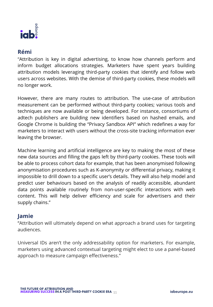

### **Rémi**

"Attribution is key in digital advertising, to know how channels perform and inform budget allocations strategies. Marketers have spent years building attribution models leveraging third-party cookies that identify and follow web users across websites. With the demise of third-party cookies, these models will no longer work.

However, there are many routes to attribution. The use-case of attribution measurement can be performed without third-party cookies; various tools and techniques are now available or being developed. For instance, consortiums of adtech publishers are building new identifiers based on hashed emails, and Google Chrome is building the "Privacy Sandbox API" which redefines a way for marketers to interact with users without the cross-site tracking information ever leaving the browser.

Machine learning and artificial intelligence are key to making the most of these new data sources and filling the gaps left by third-party cookies. These tools will be able to process cohort data for example, that has been anonymised following anonymisation procedures such as K-anonymity or differential privacy, making it impossible to drill down to a specific user's details. They will also help model and predict user behaviours based on the analysis of readily accessible, abundant data points available routinely from non-user-specific interactions with web content. This will help deliver efficiency and scale for advertisers and their supply chains."

#### **Jamie**

"Attribution will ultimately depend on what approach a brand uses for targeting audiences.

Universal IDs aren't the only addressability option for marketers. For example, marketers using advanced contextual targeting might elect to use a panel-based approach to measure campaign effectiveness."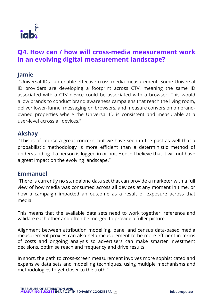

# **Q4. How can / how will cross-media measurement work in an evolving digital measurement landscape?**

#### **Jamie**

"Universal IDs can enable effective cross-media measurement. Some Universal ID providers are developing a footprint across CTV, meaning the same ID associated with a CTV device could be associated with a browser. This would allow brands to conduct brand awareness campaigns that reach the living room, deliver lower-funnel messaging on browsers, and measure conversion on brandowned properties where the Universal ID is consistent and measurable at a user-level across all devices."

#### **Akshay**

"This is of course a great concern, but we have seen in the past as well that a probabilistic methodology is more efficient than a deterministic method of understanding if a person is logged in or not. Hence I believe that it will not have a great impact on the evolving landscape."

#### **Emmanuel**

"There is currently no standalone data set that can provide a marketer with a full view of how media was consumed across all devices at any moment in time, or how a campaign impacted an outcome as a result of exposure across that media.

This means that the available data sets need to work together, reference and validate each other and often be merged to provide a fuller picture.

Alignment between attribution modelling, panel and census data-based media measurement proxies can also help measurement to be more efficient in terms of costs and ongoing analysis so advertisers can make smarter investment decisions, optimise reach and frequency and drive results.

In short, the path to cross-screen measurement involves more sophisticated and expansive data sets and modelling techniques, using multiple mechanisms and methodologies to get closer to the truth."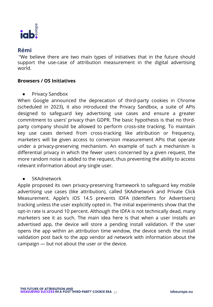

### **Rémi**

"We believe there are two main types of initiatives that in the future should support the use-case of attribution measurement in the digital advertising world.

#### **Browsers / OS Initiatives**

● Privacy Sandbox

When Google announced the deprecation of third-party cookies in Chrome (scheduled in 2023), it also introduced the Privacy Sandbox, a suite of APIs designed to safeguard key advertising use cases and ensure a greater commitment to users' privacy than GDPR. The basic hypothesis is that no thirdparty company should be allowed to perform cross-site tracking. To maintain key use cases derived from cross-tracking like attribution or frequency, marketers will be given access to conversion measurement APIs that operate under a privacy-preserving mechanism. An example of such a mechanism is differential privacy in which the fewer users concerned by a given request, the more random noise is added to the request, thus preventing the ability to access relevant information about any single user.

#### **SKAdnetwork**

Apple proposed its own privacy-preserving framework to safeguard key mobile advertising use cases (like attribution), called SKAdnetwork and Private Click Measurement. Apple's iOS 14.5 prevents IDFA (Identifiers for Advertisers) tracking unless the user explicitly opted in. The initial experiments show that the opt-in rate is around 10 percent. Although the IDFA is not technically dead, many marketers see it as such. The main idea here is that when a user installs an advertised app, the device will store a pending install validation. If the user opens the app within an attribution time window, the device sends the install validation post back to the app vendor ad network with information about the campaign — but not about the user or the device.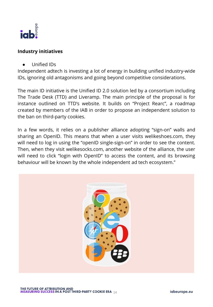

#### **Industry initiatives**

● Unified IDs

Independent adtech is investing a lot of energy in building unified industry-wide IDs, ignoring old antagonisms and going beyond competitive considerations.

The main ID initiative is the Unified ID 2.0 solution led by a consortium including The Trade Desk (TTD) and Liveramp. The main principle of the proposal is for instance outlined on TTD's website. It builds on "Project Rearc", a roadmap created by members of the IAB in order to propose an independent solution to the ban on third-party cookies.

In a few words, it relies on a publisher alliance adopting "sign-on" walls and sharing an OpenID. This means that when a user visits welikeshoes.com, they will need to log in using the "openID single-sign-on" in order to see the content. Then, when they visit welikesocks.com, another website of the alliance, the user will need to click "login with OpenID" to access the content, and its browsing behaviour will be known by the whole independent ad tech ecosystem."

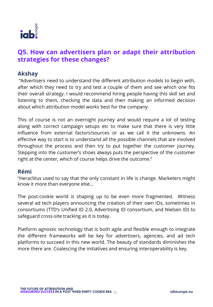

# **Q5. How can advertisers plan or adapt their attribution strategies for these changes?**

#### **Akshay**

"Advertisers need to understand the different attribution models to begin with, after which they need to try and test a couple of them and see which one fits their overall strategy. I would recommend hiring people having this skill set and listening to them, checking the data and then making an informed decision about which attribution model works best for the company.

This of course is not an overnight journey and would require a lot of testing along with correct campaign setups etc to make sure that there is very little influence from external factors/sources or as we call it the unknowns. An effective way to start is to understand all the possible channels that are involved throughout the process and then try to put together the customer journey. Stepping into the customer's shoes always puts the perspective of the customer right at the center, which of course helps drive the outcome."

#### **Rémi**

"Heraclitus used to say that the only constant in life is change. Marketers might know it more than everyone else…

The post-cookie world is shaping up to be even more fragmented. Witness several ad tech players announcing the creation of their own IDs, sometimes in consortiums (TTD's Unified ID 2.0, Advertising ID consortium, and Nielsen ID) to safeguard cross-site tracking as it is today.

Platform agnostic technology that is both agile and flexible enough to integrate the different frameworks will be key for advertisers, agencies, and ad tech platforms to succeed in this new world. The beauty of standards diminishes the more there are. Coalescing the initiatives and ensuring interoperability is key.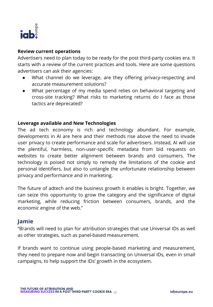

#### **Review current operations**

Advertisers need to plan today to be ready for the post third-party cookies era. It starts with a review of the current practices and tools. Here are some questions advertisers can ask their agencies:

- What channel do we leverage, are they offering privacy-respecting and accurate measurement solutions?
- What percentage of my media spend relies on behavioral targeting and cross-site tracking? What risks to marketing returns do I face as those tactics are deprecated?

#### **Leverage available and New Technologies**

The ad tech economy is rich and technology abundant. For example, developments in AI are here and their methods rise above the need to invade user privacy to create performance and scale for advertisers. Instead, AI will use the plentiful, harmless, non-user-specific metadata from bid requests on websites to create better alignment between brands and consumers. The technology is poised not simply to remedy the limitations of the cookie and personal identifiers, but also to untangle the unfortunate relationship between privacy and performance and in marketing.

The future of adtech and the business growth it enables is bright. Together, we can seize this opportunity to grow the category and the significance of digital marketing, while reducing friction between consumers, brands, and the economic engine of the web."

#### **Jamie**

"Brands will need to plan for attribution strategies that use Universal IDs as well as other strategies, such as panel-based measurement.

If brands want to continue using people-based marketing and measurement, they need to prepare now and begin transacting on Universal IDs, even in small campaigns, to help support the IDs' growth in the ecosystem.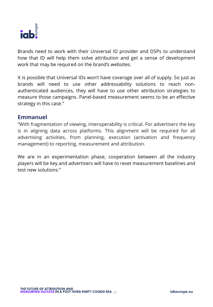

Brands need to work with their Universal ID provider and DSPs to understand how that ID will help them solve attribution and get a sense of development work that may be required on the brand's websites.

It is possible that Universal IDs won't have coverage over all of supply. So just as brands will need to use other addressability solutions to reach nonauthenticated audiences, they will have to use other attribution strategies to measure those campaigns. Panel-based measurement seems to be an effective strategy in this case."

#### **Emmanuel**

"With fragmentation of viewing, interoperability is critical. For advertisers the key is in aligning data across platforms. This alignment will be required for all advertising activities, from planning, execution (activation and frequency management) to reporting, measurement and attribution.

We are in an experimentation phase, cooperation between all the industry players will be key and advertisers will have to reset measurement baselines and test new solutions."